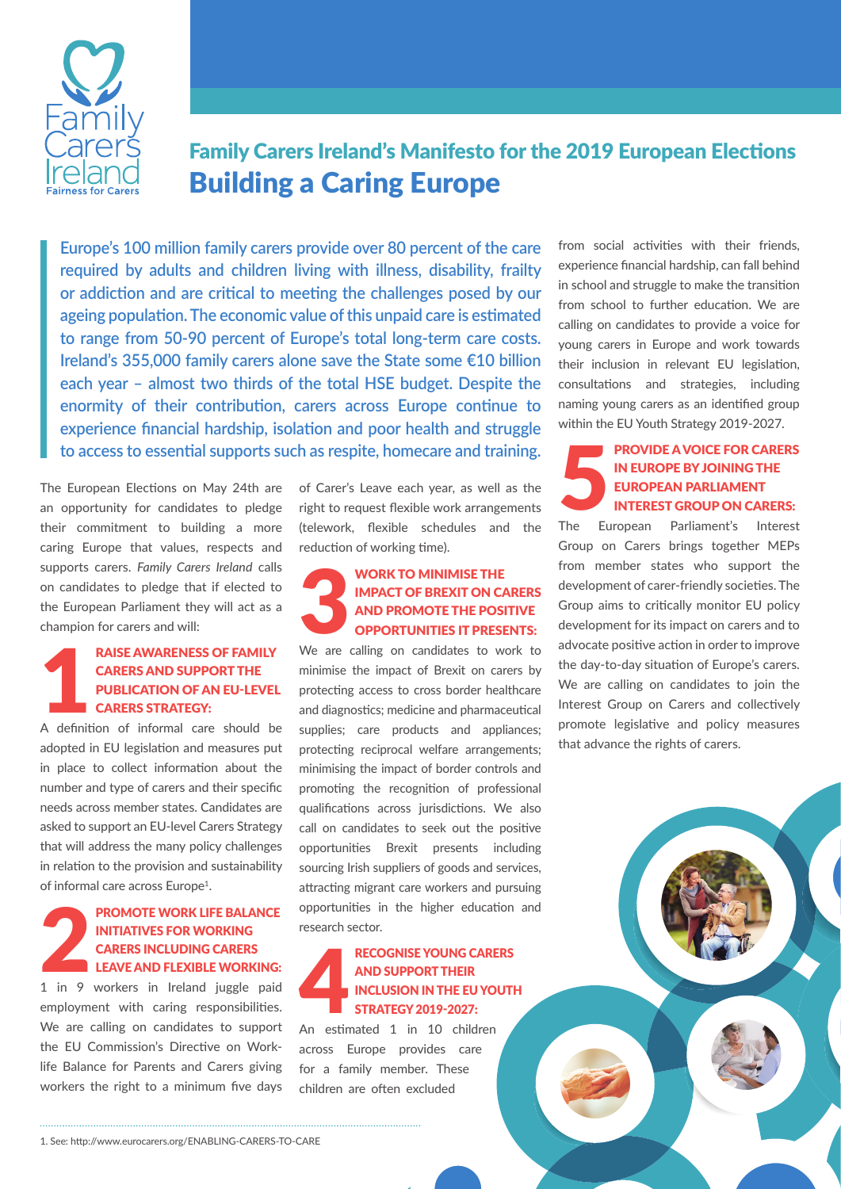

# Family Carers Ireland's Manifesto for the 2019 European Elections Building a Caring Europe

**Europe's 100 million family carers provide over 80 percent of the care required by adults and children living with illness, disability, frailty or addiction and are critical to meeting the challenges posed by our ageing population. The economic value of this unpaid care is estimated to range from 50-90 percent of Europe's total long-term care costs. Ireland's 355,000 family carers alone save the State some €10 billion each year – almost two thirds of the total HSE budget. Despite the enormity of their contribution, carers across Europe continue to experience financial hardship, isolation and poor health and struggle to access to essential supports such as respite, homecare and training.**

The European Elections on May 24th are an opportunity for candidates to pledge their commitment to building a more caring Europe that values, respects and supports carers. *Family Carers Ireland* calls on candidates to pledge that if elected to the European Parliament they will act as a champion for carers and will:

# **PARISE AWARENESS OF FAMILY<br>
CARERS AND SUPPORT THE<br>
PUBLICATION OF AN EU-LEVEL<br>
CARERS STRATEGY:**<br>
A definition of informal care should be carers and support the publication of an EU-level **CARERS STRATEGY:**

adopted in EU legislation and measures put in place to collect information about the number and type of carers and their specific needs across member states. Candidates are asked to support an EU-level Carers Strategy that will address the many policy challenges in relation to the provision and sustainability of informal care across Europe<sup>1</sup>.

# PROMOTE WORK LIFE BALANCE<br>
INITIATIVES FOR WORKING<br>
CARERS INCLUDING CARERS<br>
LEAVE AND FLEXIBLE WORKING:<br>
1 in 9 workers in Ireland juggle paid initiatives for working carers including Carers Leave and flexible working:

employment with caring responsibilities. We are calling on candidates to support the EU Commission's Directive on Worklife Balance for Parents and Carers giving workers the right to a minimum five days of Carer's Leave each year, as well as the right to request flexible work arrangements (telework, flexible schedules and the reduction of working time).

### WORK TO MINIMISE THE MORE TO MAND PROMOTE THE POSTUPIES IT PRES impact of Brexit on carers and promote the positive opportunities it presents:

We are calling on candidates to work to minimise the impact of Brexit on carers by protecting access to cross border healthcare and diagnostics; medicine and pharmaceutical supplies; care products and appliances; protecting reciprocal welfare arrangements; minimising the impact of border controls and promoting the recognition of professional qualifications across jurisdictions. We also call on candidates to seek out the positive opportunities Brexit presents including sourcing Irish suppliers of goods and services, attracting migrant care workers and pursuing opportunities in the higher education and research sector.

### RECOGNISE YOUNG CARERS<br>
AND SUPPORT THEIR<br>
INCLUSION IN THE EU YOUTH<br>
STRATEGY 2019-2027:<br>
An estimated 1 in 10 children and support their inclusion in the EU Youth Strategy 2019-2027:

An estimated 1 in 10 children across Europe provides care for a family member. These children are often excluded

from social activities with their friends, experience financial hardship, can fall behind in school and struggle to make the transition from school to further education. We are calling on candidates to provide a voice for young carers in Europe and work towards their inclusion in relevant EU legislation, consultations and strategies, including naming young carers as an identified group within the EU Youth Strategy 2019-2027.

## PROVIDE A VOICE FOR CARERS<br>
IN EUROPE BY JOINING THE<br>
EUROPEAN PARLIAMENT<br>
INTEREST GROUP ON CARERS:<br>
The European Parliament's Interest in Europe by joining the European Parliament Interest Group on Carers:

Parliament's Interest Group on Carers brings together MEPs from member states who support the development of carer-friendly societies. The Group aims to critically monitor EU policy development for its impact on carers and to advocate positive action in order to improve the day-to-day situation of Europe's carers. We are calling on candidates to join the Interest Group on Carers and collectively promote legislative and policy measures that advance the rights of carers.